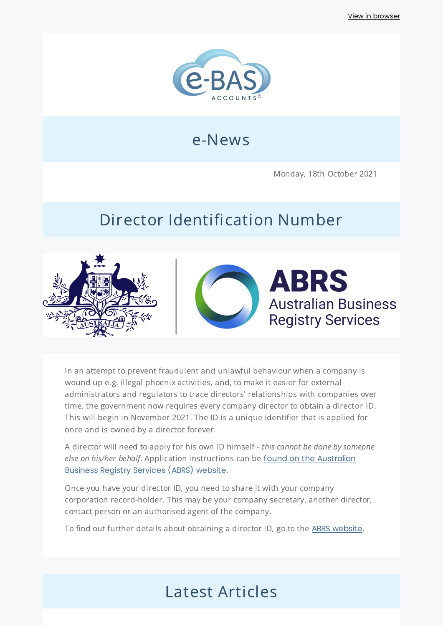

## e-News

Monday, 18th October 2021

# Director Identification Number



In an attempt to prevent fraudulent and unlawful behaviour when a company is wound up e.g. illegal phoenix activities, and, to make it easier for external administrators and regulators to trace directors' relationships with companies over time, the government now requires every company director to obtain a director ID. This will begin in November 2021. The ID is a unique identifier that is applied for once and is owned by a director forever.

A director will need to apply for his own ID himself - this cannot be done by someone else on his/her behalf. Application [instructions](https://www.abrs.gov.au/director-identification-number/apply-director-identification-number) can be found on the Australian Business Registry Services (ABRS) website.

Once you have your director ID, you need to share it with your company corporation record-holder. This may be your company secretary, another director, contact person or an authorised agent of the company.

To find out further details about obtaining a director ID, go to the ABRS [website](https://www.abrs.gov.au/director-identification-number).

## Latest Articles